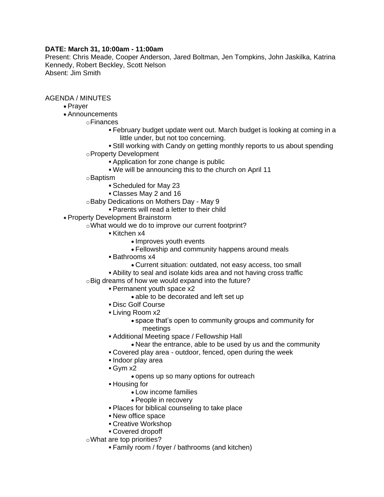## **DATE: March 31, 10:00am - 11:00am**

Present: Chris Meade, Cooper Anderson, Jared Boltman, Jen Tompkins, John Jaskilka, Katrina Kennedy, Robert Beckley, Scott Nelson Absent: Jim Smith

AGENDA / MINUTES

- Prayer
- Announcements
	- oFinances
		- February budget update went out. March budget is looking at coming in a little under, but not too concerning.
		- Still working with Candy on getting monthly reports to us about spending oProperty Development
			- Application for zone change is public
				- We will be announcing this to the church on April 11
		- oBaptism
			- Scheduled for May 23
			- Classes May 2 and 16
		- oBaby Dedications on Mothers Day May 9
			- Parents will read a letter to their child
- Property Development Brainstorm
	- oWhat would we do to improve our current footprint?
		- Kitchen x4
			- Improves youth events
			- Fellowship and community happens around meals
		- Bathrooms x4
			- Current situation: outdated, not easy access, too small
		- Ability to seal and isolate kids area and not having cross traffic
	- oBig dreams of how we would expand into the future?
		- Permanent youth space x2
			- able to be decorated and left set up
		- Disc Golf Course
		- Living Room x2
			- space that's open to community groups and community for meetings
		- Additional Meeting space / Fellowship Hall
			- Near the entrance, able to be used by us and the community
		- Covered play area outdoor, fenced, open during the week
		- · Indoor play area
		- Gym x2
			- opens up so many options for outreach
		- Housing for
			- Low income families
			- People in recovery
		- Places for biblical counseling to take place
		- New office space
		- Creative Workshop
		- Covered dropoff
	- oWhat are top priorities?
		- Family room / foyer / bathrooms (and kitchen)